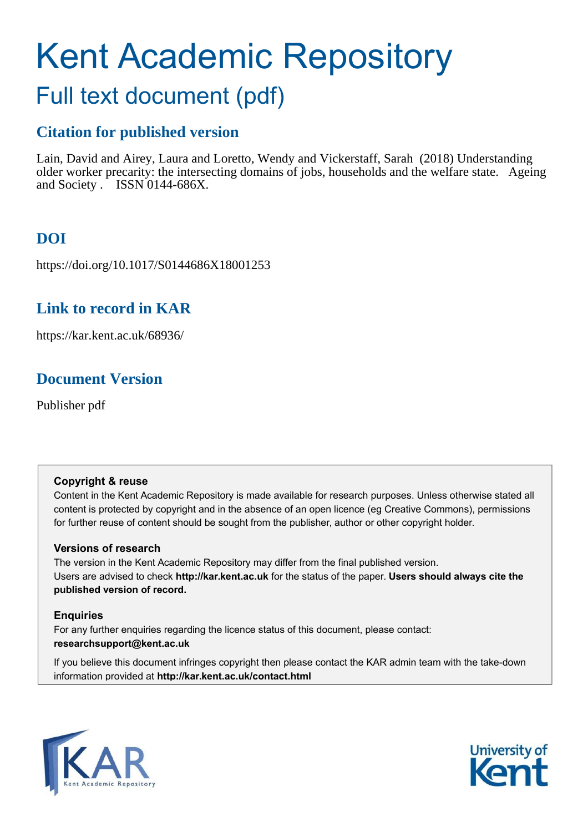# Kent Academic Repository

# Full text document (pdf)

## **Citation for published version**

Lain, David and Airey, Laura and Loretto, Wendy and Vickerstaff, Sarah (2018) Understanding older worker precarity: the intersecting domains of jobs, households and the welfare state. Ageing and Society . ISSN 0144-686X.

# **DOI**

https://doi.org/10.1017/S0144686X18001253

## **Link to record in KAR**

https://kar.kent.ac.uk/68936/

# **Document Version**

Publisher pdf

## **Copyright & reuse**

Content in the Kent Academic Repository is made available for research purposes. Unless otherwise stated all content is protected by copyright and in the absence of an open licence (eg Creative Commons), permissions for further reuse of content should be sought from the publisher, author or other copyright holder.

## **Versions of research**

The version in the Kent Academic Repository may differ from the final published version. Users are advised to check **http://kar.kent.ac.uk** for the status of the paper. **Users should always cite the published version of record.**

## **Enquiries**

For any further enquiries regarding the licence status of this document, please contact: **researchsupport@kent.ac.uk**

If you believe this document infringes copyright then please contact the KAR admin team with the take-down information provided at **http://kar.kent.ac.uk/contact.html**



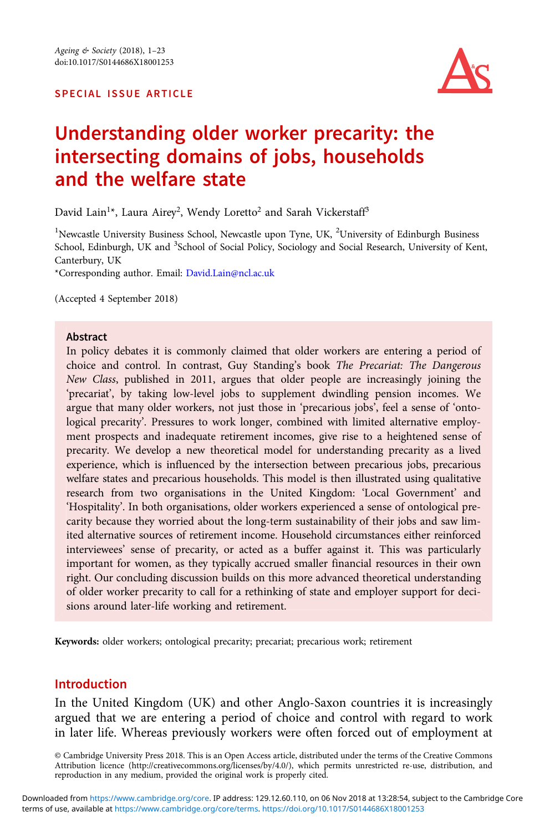#### SPECIAL ISSUE ARTICLE



## Understanding older worker precarity: the intersecting domains of jobs, households and the welfare state

David Lain<sup>1</sup>\*, Laura Airey<sup>2</sup>, Wendy Loretto<sup>2</sup> and Sarah Vickerstaff<sup>3</sup>

<sup>1</sup>Newcastle University Business School, Newcastle upon Tyne, UK, <sup>2</sup>University of Edinburgh Business School, Edinburgh, UK and <sup>3</sup>School of Social Policy, Sociology and Social Research, University of Kent, Canterbury, UK

\*Corresponding author. Email: [David.Lain@ncl.ac.uk](mailto:David.Lain@ncl.ac.uk)

(Accepted 4 September 2018)

#### Abstract

In policy debates it is commonly claimed that older workers are entering a period of choice and control. In contrast, Guy Standing's book *The Precariat: The Dangerous New Class*, published in 2011, argues that older people are increasingly joining the 'precariat', by taking low-level jobs to supplement dwindling pension incomes. We argue that many older workers, not just those in 'precarious jobs', feel a sense of 'ontological precarity'. Pressures to work longer, combined with limited alternative employment prospects and inadequate retirement incomes, give rise to a heightened sense of precarity. We develop a new theoretical model for understanding precarity as a lived experience, which is influenced by the intersection between precarious jobs, precarious welfare states and precarious households. This model is then illustrated using qualitative research from two organisations in the United Kingdom: 'Local Government' and 'Hospitality'. In both organisations, older workers experienced a sense of ontological precarity because they worried about the long-term sustainability of their jobs and saw limited alternative sources of retirement income. Household circumstances either reinforced interviewees' sense of precarity, or acted as a buffer against it. This was particularly important for women, as they typically accrued smaller financial resources in their own right. Our concluding discussion builds on this more advanced theoretical understanding of older worker precarity to call for a rethinking of state and employer support for decisions around later-life working and retirement.

Keywords: older workers; ontological precarity; precariat; precarious work; retirement

#### Introduction

In the United Kingdom (UK) and other Anglo-Saxon countries it is increasingly argued that we are entering a period of choice and control with regard to work in later life. Whereas previously workers were often forced out of employment at

© Cambridge University Press 2018. This is an Open Access article, distributed under the terms of the Creative Commons Attribution licence (http://creativecommons.org/licenses/by/4.0/), which permits unrestricted re-use, distribution, and reproduction in any medium, provided the original work is properly cited.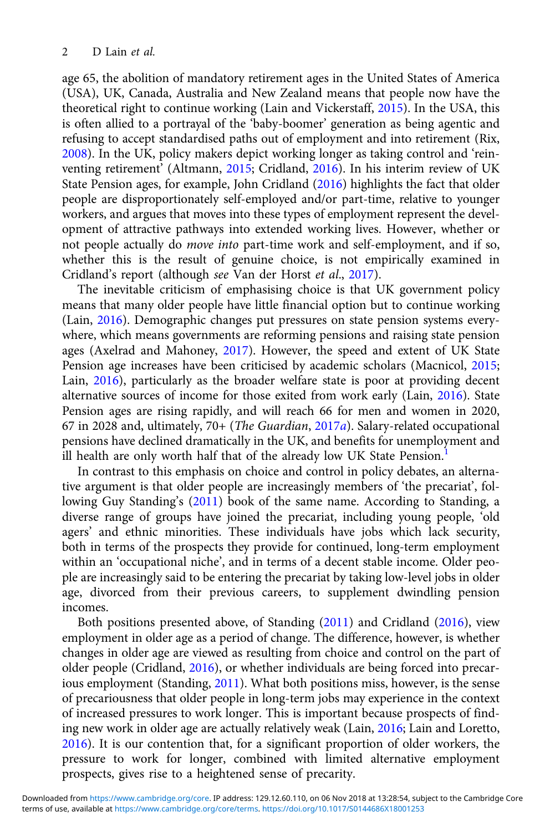age 65, the abolition of mandatory retirement ages in the United States of America (USA), UK, Canada, Australia and New Zealand means that people now have the theoretical right to continue working (Lain and Vickerstaff, [2015](#page-20-0)). In the USA, this is often allied to a portrayal of the 'baby-boomer' generation as being agentic and refusing to accept standardised paths out of employment and into retirement (Rix, [2008\)](#page-21-0). In the UK, policy makers depict working longer as taking control and 'reinventing retirement' (Altmann, [2015](#page-19-0); Cridland, [2016\)](#page-20-0). In his interim review of UK State Pension ages, for example, John Cridland [\(2016](#page-20-0)) highlights the fact that older people are disproportionately self-employed and/or part-time, relative to younger workers, and argues that moves into these types of employment represent the development of attractive pathways into extended working lives. However, whether or not people actually do *move into* part-time work and self-employment, and if so, whether this is the result of genuine choice, is not empirically examined in Cridland's report (although *see* Van der Horst *et al*., [2017\)](#page-21-0).

The inevitable criticism of emphasising choice is that UK government policy means that many older people have little financial option but to continue working (Lain, [2016](#page-20-0)). Demographic changes put pressures on state pension systems everywhere, which means governments are reforming pensions and raising state pension ages (Axelrad and Mahoney, [2017](#page-19-0)). However, the speed and extent of UK State Pension age increases have been criticised by academic scholars (Macnicol, [2015](#page-20-0); Lain, [2016](#page-20-0)), particularly as the broader welfare state is poor at providing decent alternative sources of income for those exited from work early (Lain, [2016](#page-20-0)). State Pension ages are rising rapidly, and will reach 66 for men and women in 2020, 67 in 2028 and, ultimately, 70+ (*The Guardian*, [2017](#page-21-0)*a*). Salary-related occupational pensions have declined dramatically in the UK, and benefits for unemployment and ill health are only worth half that of the already low UK State Pension.<sup>[1](#page-19-0)</sup>

In contrast to this emphasis on choice and control in policy debates, an alternative argument is that older people are increasingly members of 'the precariat', following Guy Standing's [\(2011\)](#page-21-0) book of the same name. According to Standing, a diverse range of groups have joined the precariat, including young people, 'old agers' and ethnic minorities. These individuals have jobs which lack security, both in terms of the prospects they provide for continued, long-term employment within an 'occupational niche', and in terms of a decent stable income. Older people are increasingly said to be entering the precariat by taking low-level jobs in older age, divorced from their previous careers, to supplement dwindling pension incomes.

Both positions presented above, of Standing [\(2011](#page-21-0)) and Cridland ([2016\)](#page-20-0), view employment in older age as a period of change. The difference, however, is whether changes in older age are viewed as resulting from choice and control on the part of older people (Cridland, [2016\)](#page-20-0), or whether individuals are being forced into precarious employment (Standing, [2011](#page-21-0)). What both positions miss, however, is the sense of precariousness that older people in long-term jobs may experience in the context of increased pressures to work longer. This is important because prospects of finding new work in older age are actually relatively weak (Lain, [2016;](#page-20-0) Lain and Loretto, [2016\)](#page-20-0). It is our contention that, for a significant proportion of older workers, the pressure to work for longer, combined with limited alternative employment prospects, gives rise to a heightened sense of precarity.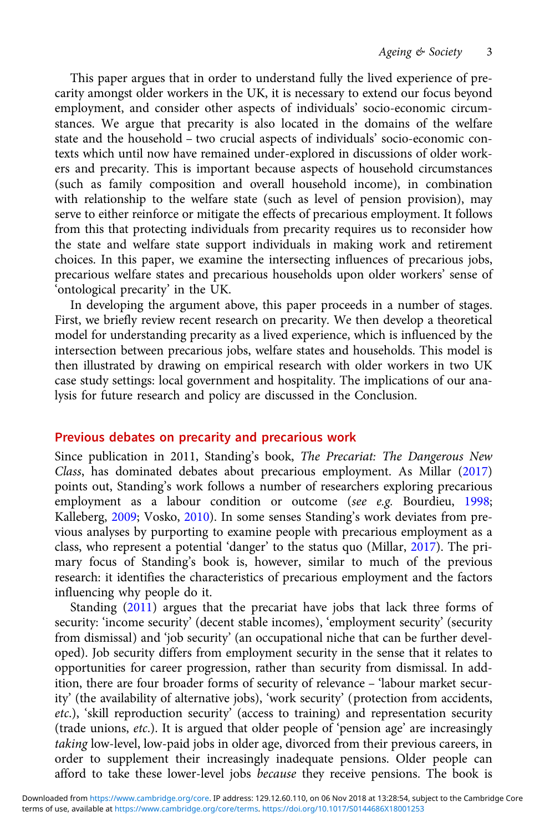This paper argues that in order to understand fully the lived experience of precarity amongst older workers in the UK, it is necessary to extend our focus beyond employment, and consider other aspects of individuals' socio-economic circumstances. We argue that precarity is also located in the domains of the welfare state and the household – two crucial aspects of individuals' socio-economic contexts which until now have remained under-explored in discussions of older workers and precarity. This is important because aspects of household circumstances (such as family composition and overall household income), in combination with relationship to the welfare state (such as level of pension provision), may serve to either reinforce or mitigate the effects of precarious employment. It follows from this that protecting individuals from precarity requires us to reconsider how the state and welfare state support individuals in making work and retirement choices. In this paper, we examine the intersecting influences of precarious jobs, precarious welfare states and precarious households upon older workers' sense of 'ontological precarity' in the UK.

In developing the argument above, this paper proceeds in a number of stages. First, we briefly review recent research on precarity. We then develop a theoretical model for understanding precarity as a lived experience, which is influenced by the intersection between precarious jobs, welfare states and households. This model is then illustrated by drawing on empirical research with older workers in two UK case study settings: local government and hospitality. The implications of our analysis for future research and policy are discussed in the Conclusion.

#### Previous debates on precarity and precarious work

Since publication in 2011, Standing's book, *The Precariat: The Dangerous New Class*, has dominated debates about precarious employment. As Millar [\(2017](#page-20-0)) points out, Standing's work follows a number of researchers exploring precarious employment as a labour condition or outcome (*see e.g.* Bourdieu, [1998](#page-20-0); Kalleberg, [2009](#page-20-0); Vosko, [2010\)](#page-21-0). In some senses Standing's work deviates from previous analyses by purporting to examine people with precarious employment as a class, who represent a potential 'danger' to the status quo (Millar, [2017\)](#page-20-0). The primary focus of Standing's book is, however, similar to much of the previous research: it identifies the characteristics of precarious employment and the factors influencing why people do it.

Standing ([2011\)](#page-21-0) argues that the precariat have jobs that lack three forms of security: 'income security' (decent stable incomes), 'employment security' (security from dismissal) and 'job security' (an occupational niche that can be further developed). Job security differs from employment security in the sense that it relates to opportunities for career progression, rather than security from dismissal. In addition, there are four broader forms of security of relevance – 'labour market security' (the availability of alternative jobs), 'work security' (protection from accidents, *etc*.), 'skill reproduction security' (access to training) and representation security (trade unions, *etc*.). It is argued that older people of 'pension age' are increasingly *taking* low-level, low-paid jobs in older age, divorced from their previous careers, in order to supplement their increasingly inadequate pensions. Older people can afford to take these lower-level jobs *because* they receive pensions. The book is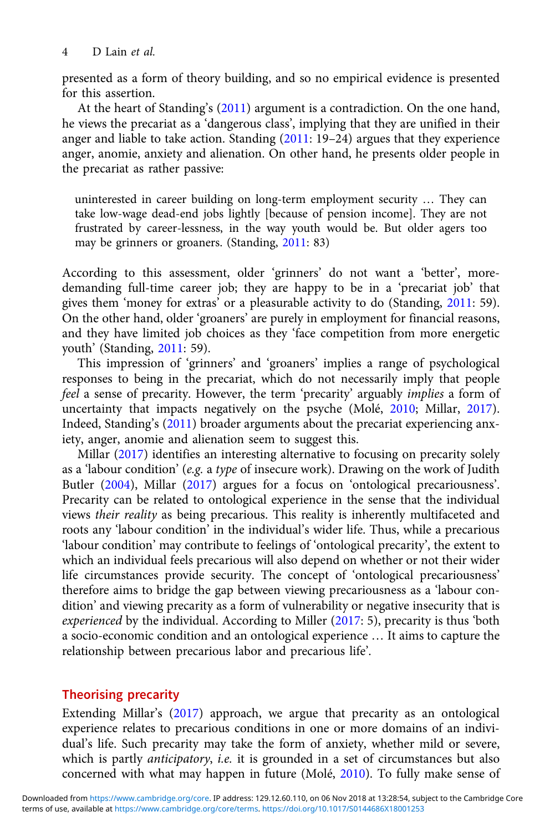<span id="page-4-0"></span>presented as a form of theory building, and so no empirical evidence is presented for this assertion.

At the heart of Standing's ([2011\)](#page-21-0) argument is a contradiction. On the one hand, he views the precariat as a 'dangerous class', implying that they are unified in their anger and liable to take action. Standing ([2011](#page-21-0): 19–24) argues that they experience anger, anomie, anxiety and alienation. On other hand, he presents older people in the precariat as rather passive:

uninterested in career building on long-term employment security … They can take low-wage dead-end jobs lightly [because of pension income]. They are not frustrated by career-lessness, in the way youth would be. But older agers too may be grinners or groaners. (Standing, [2011](#page-21-0): 83)

According to this assessment, older 'grinners' do not want a 'better', moredemanding full-time career job; they are happy to be in a 'precariat job' that gives them 'money for extras' or a pleasurable activity to do (Standing, [2011](#page-21-0): 59). On the other hand, older 'groaners' are purely in employment for financial reasons, and they have limited job choices as they 'face competition from more energetic youth' (Standing, [2011](#page-21-0): 59).

This impression of 'grinners' and 'groaners' implies a range of psychological responses to being in the precariat, which do not necessarily imply that people *feel* a sense of precarity. However, the term 'precarity' arguably *implies* a form of uncertainty that impacts negatively on the psyche (Molé, [2010;](#page-21-0) Millar, [2017\)](#page-20-0). Indeed, Standing's ([2011](#page-21-0)) broader arguments about the precariat experiencing anxiety, anger, anomie and alienation seem to suggest this.

Millar ([2017\)](#page-20-0) identifies an interesting alternative to focusing on precarity solely as a 'labour condition' (*e.g.* a *type* of insecure work). Drawing on the work of Judith Butler ([2004](#page-20-0)), Millar [\(2017\)](#page-20-0) argues for a focus on 'ontological precariousness'. Precarity can be related to ontological experience in the sense that the individual views *their reality* as being precarious. This reality is inherently multifaceted and roots any 'labour condition' in the individual's wider life. Thus, while a precarious 'labour condition' may contribute to feelings of 'ontological precarity', the extent to which an individual feels precarious will also depend on whether or not their wider life circumstances provide security. The concept of 'ontological precariousness' therefore aims to bridge the gap between viewing precariousness as a 'labour condition' and viewing precarity as a form of vulnerability or negative insecurity that is *experienced* by the individual. According to Miller ([2017](#page-20-0): 5), precarity is thus 'both a socio-economic condition and an ontological experience … It aims to capture the relationship between precarious labor and precarious life'.

#### Theorising precarity

Extending Millar's ([2017\)](#page-20-0) approach, we argue that precarity as an ontological experience relates to precarious conditions in one or more domains of an individual's life. Such precarity may take the form of anxiety, whether mild or severe, which is partly *anticipatory*, *i.e.* it is grounded in a set of circumstances but also concerned with what may happen in future (Molé, [2010\)](#page-21-0). To fully make sense of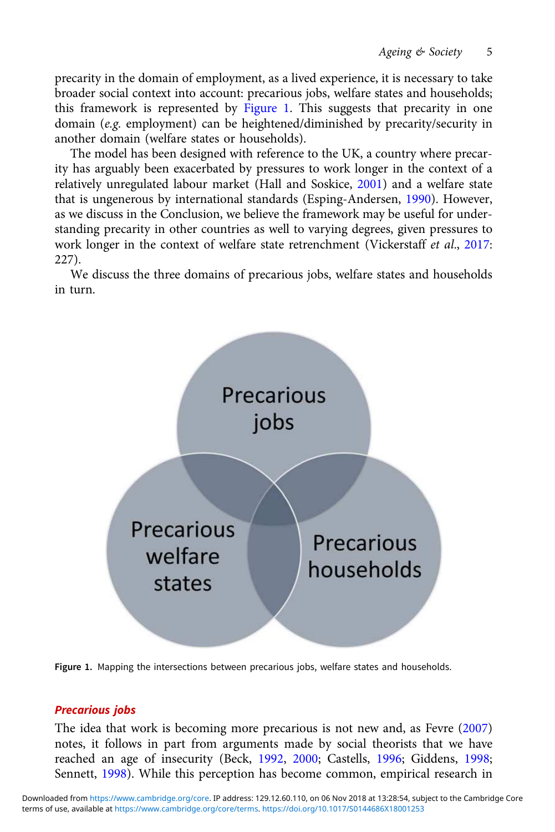precarity in the domain of employment, as a lived experience, it is necessary to take broader social context into account: precarious jobs, welfare states and households; this framework is represented by [Figure 1](#page-4-0). This suggests that precarity in one domain (*e.g.* employment) can be heightened/diminished by precarity/security in another domain (welfare states or households).

The model has been designed with reference to the UK, a country where precarity has arguably been exacerbated by pressures to work longer in the context of a relatively unregulated labour market (Hall and Soskice, [2001](#page-20-0)) and a welfare state that is ungenerous by international standards (Esping-Andersen, [1990\)](#page-20-0). However, as we discuss in the Conclusion, we believe the framework may be useful for understanding precarity in other countries as well to varying degrees, given pressures to work longer in the context of welfare state retrenchment (Vickerstaff *et al*., [2017](#page-21-0): 227).

We discuss the three domains of precarious jobs, welfare states and households in turn.



Figure 1. Mapping the intersections between precarious jobs, welfare states and households.

#### Precarious jobs

The idea that work is becoming more precarious is not new and, as Fevre [\(2007](#page-20-0)) notes, it follows in part from arguments made by social theorists that we have reached an age of insecurity (Beck, [1992](#page-20-0), [2000](#page-20-0); Castells, [1996](#page-20-0); Giddens, [1998](#page-20-0); Sennett, [1998\)](#page-21-0). While this perception has become common, empirical research in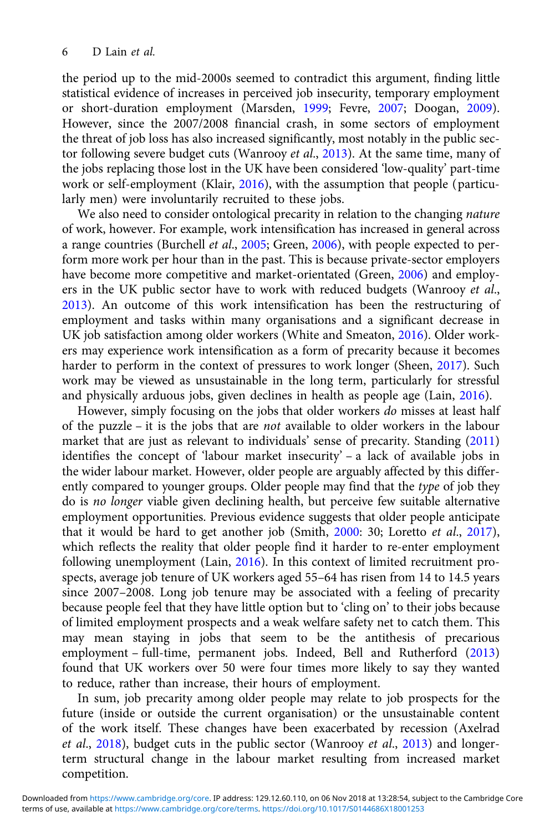the period up to the mid-2000s seemed to contradict this argument, finding little statistical evidence of increases in perceived job insecurity, temporary employment or short-duration employment (Marsden, [1999](#page-20-0); Fevre, [2007;](#page-20-0) Doogan, [2009\)](#page-20-0). However, since the 2007/2008 financial crash, in some sectors of employment the threat of job loss has also increased significantly, most notably in the public sector following severe budget cuts (Wanrooy *et al*., [2013](#page-22-0)). At the same time, many of the jobs replacing those lost in the UK have been considered 'low-quality' part-time work or self-employment (Klair, [2016](#page-20-0)), with the assumption that people (particularly men) were involuntarily recruited to these jobs.

We also need to consider ontological precarity in relation to the changing *nature* of work, however. For example, work intensification has increased in general across a range countries (Burchell *et al*., [2005](#page-20-0); Green, [2006](#page-20-0)), with people expected to perform more work per hour than in the past. This is because private-sector employers have become more competitive and market-orientated (Green, [2006](#page-20-0)) and employers in the UK public sector have to work with reduced budgets (Wanrooy *et al*., [2013\)](#page-22-0). An outcome of this work intensification has been the restructuring of employment and tasks within many organisations and a significant decrease in UK job satisfaction among older workers (White and Smeaton, [2016](#page-22-0)). Older workers may experience work intensification as a form of precarity because it becomes harder to perform in the context of pressures to work longer (Sheen, [2017](#page-21-0)). Such work may be viewed as unsustainable in the long term, particularly for stressful and physically arduous jobs, given declines in health as people age (Lain, [2016\)](#page-20-0).

However, simply focusing on the jobs that older workers *do* misses at least half of the puzzle – it is the jobs that are *not* available to older workers in the labour market that are just as relevant to individuals' sense of precarity. Standing [\(2011\)](#page-21-0) identifies the concept of 'labour market insecurity' – a lack of available jobs in the wider labour market. However, older people are arguably affected by this differently compared to younger groups. Older people may find that the *type* of job they do is *no longer* viable given declining health, but perceive few suitable alternative employment opportunities. Previous evidence suggests that older people anticipate that it would be hard to get another job (Smith, [2000](#page-21-0): 30; Loretto *et al*., [2017\)](#page-20-0), which reflects the reality that older people find it harder to re-enter employment following unemployment (Lain, [2016\)](#page-20-0). In this context of limited recruitment prospects, average job tenure of UK workers aged 55–64 has risen from 14 to 14.5 years since 2007–2008. Long job tenure may be associated with a feeling of precarity because people feel that they have little option but to 'cling on' to their jobs because of limited employment prospects and a weak welfare safety net to catch them. This may mean staying in jobs that seem to be the antithesis of precarious employment – full-time, permanent jobs. Indeed, Bell and Rutherford [\(2013\)](#page-20-0) found that UK workers over 50 were four times more likely to say they wanted to reduce, rather than increase, their hours of employment.

In sum, job precarity among older people may relate to job prospects for the future (inside or outside the current organisation) or the unsustainable content of the work itself. These changes have been exacerbated by recession (Axelrad *et al*., [2018](#page-19-0)), budget cuts in the public sector (Wanrooy *et al*., [2013](#page-22-0)) and longerterm structural change in the labour market resulting from increased market competition.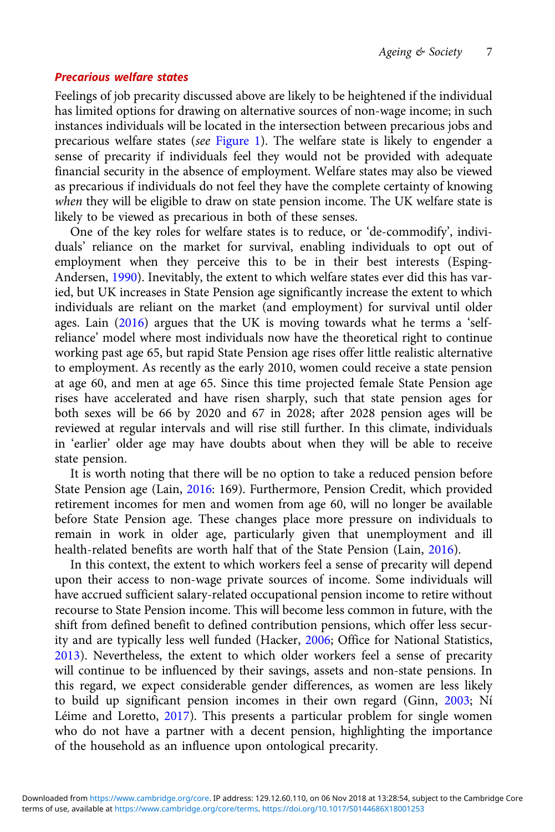#### Precarious welfare states

Feelings of job precarity discussed above are likely to be heightened if the individual has limited options for drawing on alternative sources of non-wage income; in such instances individuals will be located in the intersection between precarious jobs and precarious welfare states (*see* [Figure 1\)](#page-4-0). The welfare state is likely to engender a sense of precarity if individuals feel they would not be provided with adequate financial security in the absence of employment. Welfare states may also be viewed as precarious if individuals do not feel they have the complete certainty of knowing *when* they will be eligible to draw on state pension income. The UK welfare state is likely to be viewed as precarious in both of these senses.

One of the key roles for welfare states is to reduce, or 'de-commodify', individuals' reliance on the market for survival, enabling individuals to opt out of employment when they perceive this to be in their best interests (Esping-Andersen, [1990\)](#page-20-0). Inevitably, the extent to which welfare states ever did this has varied, but UK increases in State Pension age significantly increase the extent to which individuals are reliant on the market (and employment) for survival until older ages. Lain [\(2016\)](#page-20-0) argues that the UK is moving towards what he terms a 'selfreliance' model where most individuals now have the theoretical right to continue working past age 65, but rapid State Pension age rises offer little realistic alternative to employment. As recently as the early 2010, women could receive a state pension at age 60, and men at age 65. Since this time projected female State Pension age rises have accelerated and have risen sharply, such that state pension ages for both sexes will be 66 by 2020 and 67 in 2028; after 2028 pension ages will be reviewed at regular intervals and will rise still further. In this climate, individuals in 'earlier' older age may have doubts about when they will be able to receive state pension.

It is worth noting that there will be no option to take a reduced pension before State Pension age (Lain, [2016:](#page-20-0) 169). Furthermore, Pension Credit, which provided retirement incomes for men and women from age 60, will no longer be available before State Pension age. These changes place more pressure on individuals to remain in work in older age, particularly given that unemployment and ill health-related benefits are worth half that of the State Pension (Lain, [2016\)](#page-20-0).

In this context, the extent to which workers feel a sense of precarity will depend upon their access to non-wage private sources of income. Some individuals will have accrued sufficient salary-related occupational pension income to retire without recourse to State Pension income. This will become less common in future, with the shift from defined benefit to defined contribution pensions, which offer less security and are typically less well funded (Hacker, [2006;](#page-20-0) Office for National Statistics, [2013](#page-21-0)). Nevertheless, the extent to which older workers feel a sense of precarity will continue to be influenced by their savings, assets and non-state pensions. In this regard, we expect considerable gender differences, as women are less likely to build up significant pension incomes in their own regard (Ginn, [2003](#page-20-0); Ní Léime and Loretto, [2017](#page-21-0)). This presents a particular problem for single women who do not have a partner with a decent pension, highlighting the importance of the household as an influence upon ontological precarity.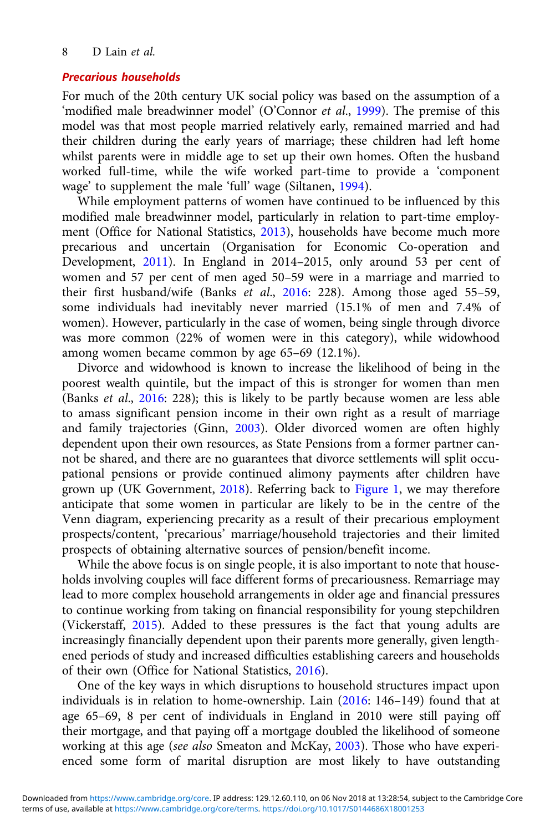#### Precarious households

For much of the 20th century UK social policy was based on the assumption of a 'modified male breadwinner model' (O'Connor *et al*., [1999](#page-21-0)). The premise of this model was that most people married relatively early, remained married and had their children during the early years of marriage; these children had left home whilst parents were in middle age to set up their own homes. Often the husband worked full-time, while the wife worked part-time to provide a 'component wage' to supplement the male 'full' wage (Siltanen, [1994](#page-21-0)).

While employment patterns of women have continued to be influenced by this modified male breadwinner model, particularly in relation to part-time employment (Office for National Statistics, [2013](#page-21-0)), households have become much more precarious and uncertain (Organisation for Economic Co-operation and Development, [2011\)](#page-21-0). In England in 2014–2015, only around 53 per cent of women and 57 per cent of men aged 50–59 were in a marriage and married to their first husband/wife (Banks *et al*., [2016](#page-19-0): 228). Among those aged 55–59, some individuals had inevitably never married (15.1% of men and 7.4% of women). However, particularly in the case of women, being single through divorce was more common (22% of women were in this category), while widowhood among women became common by age 65–69 (12.1%).

Divorce and widowhood is known to increase the likelihood of being in the poorest wealth quintile, but the impact of this is stronger for women than men (Banks *et al*., [2016:](#page-19-0) 228); this is likely to be partly because women are less able to amass significant pension income in their own right as a result of marriage and family trajectories (Ginn, [2003](#page-20-0)). Older divorced women are often highly dependent upon their own resources, as State Pensions from a former partner cannot be shared, and there are no guarantees that divorce settlements will split occupational pensions or provide continued alimony payments after children have grown up (UK Government, [2018](#page-21-0)). Referring back to [Figure 1](#page-4-0), we may therefore anticipate that some women in particular are likely to be in the centre of the Venn diagram, experiencing precarity as a result of their precarious employment prospects/content, 'precarious' marriage/household trajectories and their limited prospects of obtaining alternative sources of pension/benefit income.

While the above focus is on single people, it is also important to note that households involving couples will face different forms of precariousness. Remarriage may lead to more complex household arrangements in older age and financial pressures to continue working from taking on financial responsibility for young stepchildren (Vickerstaff, [2015](#page-21-0)). Added to these pressures is the fact that young adults are increasingly financially dependent upon their parents more generally, given lengthened periods of study and increased difficulties establishing careers and households of their own (Office for National Statistics, [2016](#page-21-0)).

One of the key ways in which disruptions to household structures impact upon individuals is in relation to home-ownership. Lain [\(2016:](#page-20-0) 146–149) found that at age 65–69, 8 per cent of individuals in England in 2010 were still paying off their mortgage, and that paying off a mortgage doubled the likelihood of someone working at this age (*see also* Smeaton and McKay, [2003](#page-21-0)). Those who have experienced some form of marital disruption are most likely to have outstanding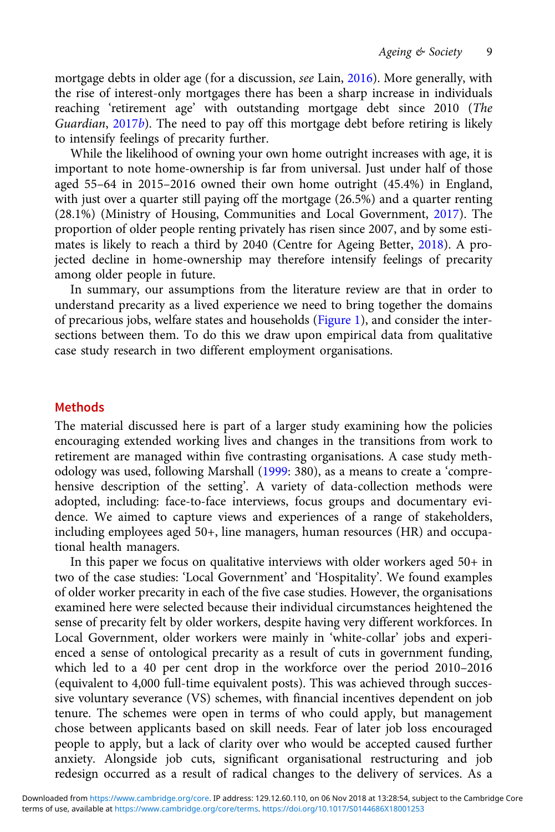mortgage debts in older age (for a discussion, *see* Lain, [2016\)](#page-20-0). More generally, with the rise of interest-only mortgages there has been a sharp increase in individuals reaching 'retirement age' with outstanding mortgage debt since 2010 (*The Guardian*, [2017](#page-21-0)*b*). The need to pay off this mortgage debt before retiring is likely to intensify feelings of precarity further.

While the likelihood of owning your own home outright increases with age, it is important to note home-ownership is far from universal. Just under half of those aged 55–64 in 2015–2016 owned their own home outright (45.4%) in England, with just over a quarter still paying off the mortgage (26.5%) and a quarter renting (28.1%) (Ministry of Housing, Communities and Local Government, [2017\)](#page-21-0). The proportion of older people renting privately has risen since 2007, and by some estimates is likely to reach a third by 2040 (Centre for Ageing Better, [2018\)](#page-20-0). A projected decline in home-ownership may therefore intensify feelings of precarity among older people in future.

In summary, our assumptions from the literature review are that in order to understand precarity as a lived experience we need to bring together the domains of precarious jobs, welfare states and households ([Figure 1](#page-4-0)), and consider the intersections between them. To do this we draw upon empirical data from qualitative case study research in two different employment organisations.

#### Methods

The material discussed here is part of a larger study examining how the policies encouraging extended working lives and changes in the transitions from work to retirement are managed within five contrasting organisations. A case study methodology was used, following Marshall ([1999:](#page-20-0) 380), as a means to create a 'comprehensive description of the setting'. A variety of data-collection methods were adopted, including: face-to-face interviews, focus groups and documentary evidence. We aimed to capture views and experiences of a range of stakeholders, including employees aged 50+, line managers, human resources (HR) and occupational health managers.

In this paper we focus on qualitative interviews with older workers aged 50+ in two of the case studies: 'Local Government' and 'Hospitality'. We found examples of older worker precarity in each of the five case studies. However, the organisations examined here were selected because their individual circumstances heightened the sense of precarity felt by older workers, despite having very different workforces. In Local Government, older workers were mainly in 'white-collar' jobs and experienced a sense of ontological precarity as a result of cuts in government funding, which led to a 40 per cent drop in the workforce over the period 2010–2016 (equivalent to 4,000 full-time equivalent posts). This was achieved through successive voluntary severance (VS) schemes, with financial incentives dependent on job tenure. The schemes were open in terms of who could apply, but management chose between applicants based on skill needs. Fear of later job loss encouraged people to apply, but a lack of clarity over who would be accepted caused further anxiety. Alongside job cuts, significant organisational restructuring and job redesign occurred as a result of radical changes to the delivery of services. As a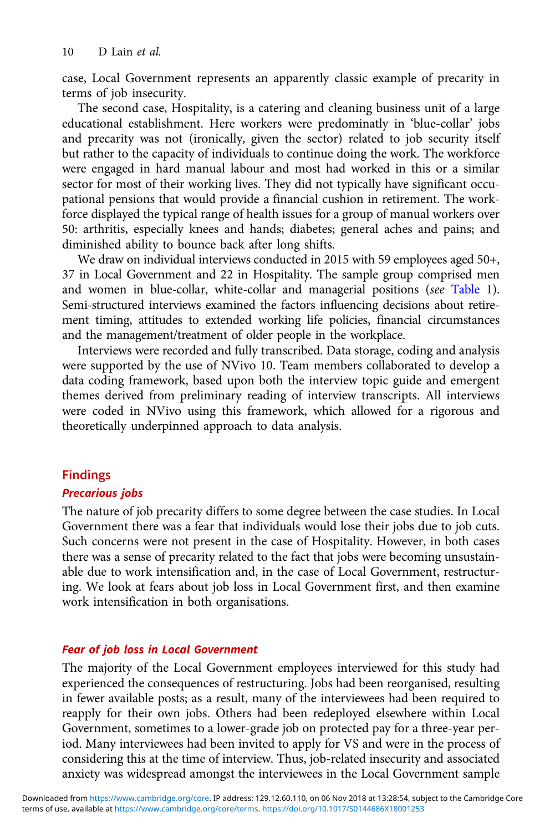case, Local Government represents an apparently classic example of precarity in terms of job insecurity.

The second case, Hospitality, is a catering and cleaning business unit of a large educational establishment. Here workers were predominatly in 'blue-collar' jobs and precarity was not (ironically, given the sector) related to job security itself but rather to the capacity of individuals to continue doing the work. The workforce were engaged in hard manual labour and most had worked in this or a similar sector for most of their working lives. They did not typically have significant occupational pensions that would provide a financial cushion in retirement. The workforce displayed the typical range of health issues for a group of manual workers over 50: arthritis, especially knees and hands; diabetes; general aches and pains; and diminished ability to bounce back after long shifts.

We draw on individual interviews conducted in 2015 with 59 employees aged 50+, 37 in Local Government and 22 in Hospitality. The sample group comprised men and women in blue-collar, white-collar and managerial positions (*see* Table 1). Semi-structured interviews examined the factors influencing decisions about retirement timing, attitudes to extended working life policies, financial circumstances and the management/treatment of older people in the workplace.

Interviews were recorded and fully transcribed. Data storage, coding and analysis were supported by the use of NVivo 10. Team members collaborated to develop a data coding framework, based upon both the interview topic guide and emergent themes derived from preliminary reading of interview transcripts. All interviews were coded in NVivo using this framework, which allowed for a rigorous and theoretically underpinned approach to data analysis.

#### Findings

#### Precarious jobs

The nature of job precarity differs to some degree between the case studies. In Local Government there was a fear that individuals would lose their jobs due to job cuts. Such concerns were not present in the case of Hospitality. However, in both cases there was a sense of precarity related to the fact that jobs were becoming unsustainable due to work intensification and, in the case of Local Government, restructuring. We look at fears about job loss in Local Government first, and then examine work intensification in both organisations.

#### Fear of job loss in Local Government

The majority of the Local Government employees interviewed for this study had experienced the consequences of restructuring. Jobs had been reorganised, resulting in fewer available posts; as a result, many of the interviewees had been required to reapply for their own jobs. Others had been redeployed elsewhere within Local Government, sometimes to a lower-grade job on protected pay for a three-year period. Many interviewees had been invited to apply for VS and were in the process of considering this at the time of interview. Thus, job-related insecurity and associated anxiety was widespread amongst the interviewees in the Local Government sample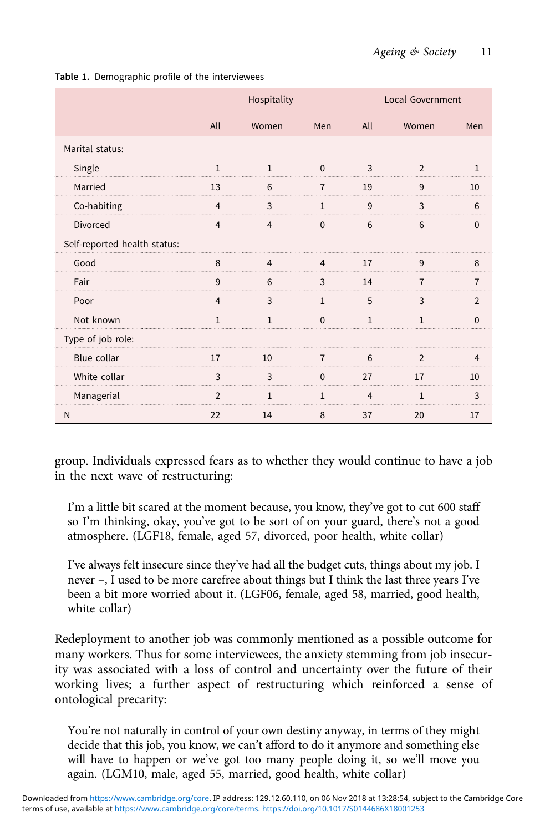|                              | Hospitality           |                |                |                | Local Government |                       |  |
|------------------------------|-----------------------|----------------|----------------|----------------|------------------|-----------------------|--|
|                              | All                   | Women          | Men            | All            | Women            | Men                   |  |
| Marital status:              |                       |                |                |                |                  |                       |  |
| Single                       | 1                     | 1              | $\mathbf 0$    | 3              | 2                | 1                     |  |
| Married                      | 13                    | 6              | 7              | 19             | 9                | 10                    |  |
| Co-habiting                  | $\overline{4}$        | 3              | $\mathbf{1}$   | 9              | 3                | 6                     |  |
| Divorced                     | $\overline{4}$        | $\overline{4}$ | $\mathbf 0$    | 6              | 6                | $\Omega$              |  |
| Self-reported health status: |                       |                |                |                |                  |                       |  |
| Good                         | $\mathsf{\mathsf{R}}$ | $\overline{4}$ | $\overline{4}$ | 17             | 9                | $\mathsf{\mathsf{R}}$ |  |
| Fair                         | 9                     | 6              | 3              | 14             | 7                |                       |  |
| Poor                         | $\overline{4}$        | 3              | $\mathbf{1}$   | 5              | 3                | $\overline{2}$        |  |
| Not known                    | 1                     | 1              | 0              | 1              | 1                | $\Omega$              |  |
| Type of job role:            |                       |                |                |                |                  |                       |  |
| Blue collar                  | 17                    | 10             | $\overline{7}$ | 6              | $\overline{2}$   | $\overline{4}$        |  |
| White collar                 | 3                     | $\overline{3}$ | $\Omega$       | 27             | 17               | 10                    |  |
| Managerial                   | $\overline{2}$        | 1              | $\mathbf{1}$   | $\overline{4}$ | $\mathbf{1}$     | 3                     |  |
| N                            | 22                    | 14             | 8              | 37             | 20               | 17                    |  |

Table 1. Demographic profile of the interviewees

group. Individuals expressed fears as to whether they would continue to have a job in the next wave of restructuring:

I'm a little bit scared at the moment because, you know, they've got to cut 600 staff so I'm thinking, okay, you've got to be sort of on your guard, there's not a good atmosphere. (LGF18, female, aged 57, divorced, poor health, white collar)

I've always felt insecure since they've had all the budget cuts, things about my job. I never –, I used to be more carefree about things but I think the last three years I've been a bit more worried about it. (LGF06, female, aged 58, married, good health, white collar)

Redeployment to another job was commonly mentioned as a possible outcome for many workers. Thus for some interviewees, the anxiety stemming from job insecurity was associated with a loss of control and uncertainty over the future of their working lives; a further aspect of restructuring which reinforced a sense of ontological precarity:

You're not naturally in control of your own destiny anyway, in terms of they might decide that this job, you know, we can't afford to do it anymore and something else will have to happen or we've got too many people doing it, so we'll move you again. (LGM10, male, aged 55, married, good health, white collar)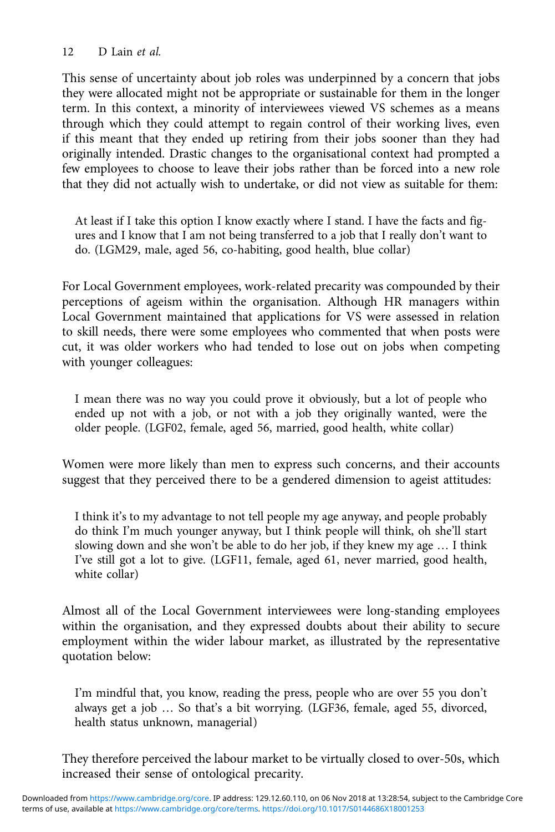This sense of uncertainty about job roles was underpinned by a concern that jobs they were allocated might not be appropriate or sustainable for them in the longer term. In this context, a minority of interviewees viewed VS schemes as a means through which they could attempt to regain control of their working lives, even if this meant that they ended up retiring from their jobs sooner than they had originally intended. Drastic changes to the organisational context had prompted a few employees to choose to leave their jobs rather than be forced into a new role that they did not actually wish to undertake, or did not view as suitable for them:

At least if I take this option I know exactly where I stand. I have the facts and figures and I know that I am not being transferred to a job that I really don't want to do. (LGM29, male, aged 56, co-habiting, good health, blue collar)

For Local Government employees, work-related precarity was compounded by their perceptions of ageism within the organisation. Although HR managers within Local Government maintained that applications for VS were assessed in relation to skill needs, there were some employees who commented that when posts were cut, it was older workers who had tended to lose out on jobs when competing with younger colleagues:

I mean there was no way you could prove it obviously, but a lot of people who ended up not with a job, or not with a job they originally wanted, were the older people. (LGF02, female, aged 56, married, good health, white collar)

Women were more likely than men to express such concerns, and their accounts suggest that they perceived there to be a gendered dimension to ageist attitudes:

I think it's to my advantage to not tell people my age anyway, and people probably do think I'm much younger anyway, but I think people will think, oh she'll start slowing down and she won't be able to do her job, if they knew my age … I think I've still got a lot to give. (LGF11, female, aged 61, never married, good health, white collar)

Almost all of the Local Government interviewees were long-standing employees within the organisation, and they expressed doubts about their ability to secure employment within the wider labour market, as illustrated by the representative quotation below:

I'm mindful that, you know, reading the press, people who are over 55 you don't always get a job … So that's a bit worrying. (LGF36, female, aged 55, divorced, health status unknown, managerial)

They therefore perceived the labour market to be virtually closed to over-50s, which increased their sense of ontological precarity.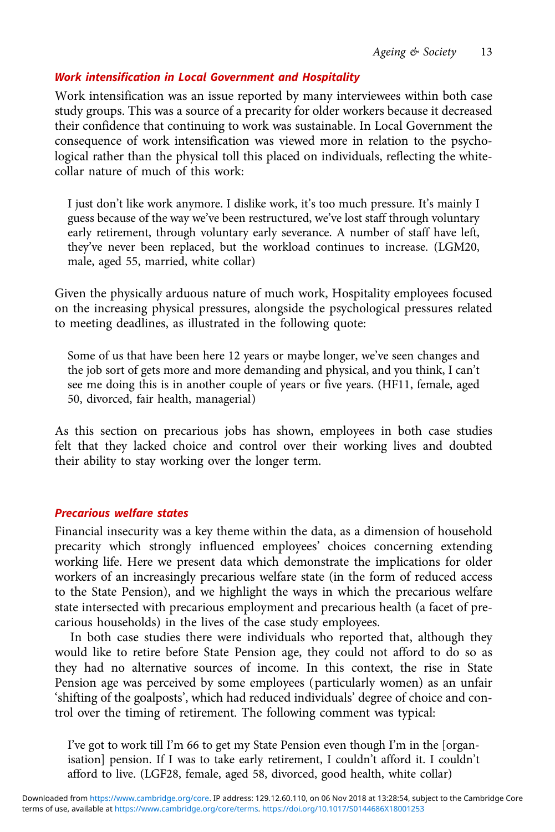#### Work intensification in Local Government and Hospitality

Work intensification was an issue reported by many interviewees within both case study groups. This was a source of a precarity for older workers because it decreased their confidence that continuing to work was sustainable. In Local Government the consequence of work intensification was viewed more in relation to the psychological rather than the physical toll this placed on individuals, reflecting the whitecollar nature of much of this work:

I just don't like work anymore. I dislike work, it's too much pressure. It's mainly I guess because of the way we've been restructured, we've lost staff through voluntary early retirement, through voluntary early severance. A number of staff have left, they've never been replaced, but the workload continues to increase. (LGM20, male, aged 55, married, white collar)

Given the physically arduous nature of much work, Hospitality employees focused on the increasing physical pressures, alongside the psychological pressures related to meeting deadlines, as illustrated in the following quote:

Some of us that have been here 12 years or maybe longer, we've seen changes and the job sort of gets more and more demanding and physical, and you think, I can't see me doing this is in another couple of years or five years. (HF11, female, aged 50, divorced, fair health, managerial)

As this section on precarious jobs has shown, employees in both case studies felt that they lacked choice and control over their working lives and doubted their ability to stay working over the longer term.

#### Precarious welfare states

Financial insecurity was a key theme within the data, as a dimension of household precarity which strongly influenced employees' choices concerning extending working life. Here we present data which demonstrate the implications for older workers of an increasingly precarious welfare state (in the form of reduced access to the State Pension), and we highlight the ways in which the precarious welfare state intersected with precarious employment and precarious health (a facet of precarious households) in the lives of the case study employees.

In both case studies there were individuals who reported that, although they would like to retire before State Pension age, they could not afford to do so as they had no alternative sources of income. In this context, the rise in State Pension age was perceived by some employees (particularly women) as an unfair 'shifting of the goalposts', which had reduced individuals' degree of choice and control over the timing of retirement. The following comment was typical:

I've got to work till I'm 66 to get my State Pension even though I'm in the [organisation] pension. If I was to take early retirement, I couldn't afford it. I couldn't afford to live. (LGF28, female, aged 58, divorced, good health, white collar)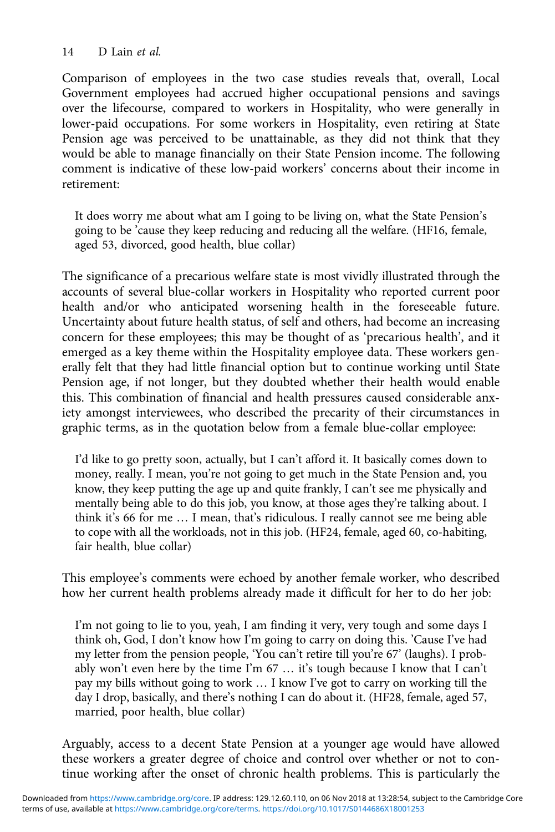Comparison of employees in the two case studies reveals that, overall, Local Government employees had accrued higher occupational pensions and savings over the lifecourse, compared to workers in Hospitality, who were generally in lower-paid occupations. For some workers in Hospitality, even retiring at State Pension age was perceived to be unattainable, as they did not think that they would be able to manage financially on their State Pension income. The following comment is indicative of these low-paid workers' concerns about their income in retirement:

It does worry me about what am I going to be living on, what the State Pension's going to be 'cause they keep reducing and reducing all the welfare. (HF16, female, aged 53, divorced, good health, blue collar)

The significance of a precarious welfare state is most vividly illustrated through the accounts of several blue-collar workers in Hospitality who reported current poor health and/or who anticipated worsening health in the foreseeable future. Uncertainty about future health status, of self and others, had become an increasing concern for these employees; this may be thought of as 'precarious health', and it emerged as a key theme within the Hospitality employee data. These workers generally felt that they had little financial option but to continue working until State Pension age, if not longer, but they doubted whether their health would enable this. This combination of financial and health pressures caused considerable anxiety amongst interviewees, who described the precarity of their circumstances in graphic terms, as in the quotation below from a female blue-collar employee:

I'd like to go pretty soon, actually, but I can't afford it. It basically comes down to money, really. I mean, you're not going to get much in the State Pension and, you know, they keep putting the age up and quite frankly, I can't see me physically and mentally being able to do this job, you know, at those ages they're talking about. I think it's 66 for me … I mean, that's ridiculous. I really cannot see me being able to cope with all the workloads, not in this job. (HF24, female, aged 60, co-habiting, fair health, blue collar)

This employee's comments were echoed by another female worker, who described how her current health problems already made it difficult for her to do her job:

I'm not going to lie to you, yeah, I am finding it very, very tough and some days I think oh, God, I don't know how I'm going to carry on doing this. 'Cause I've had my letter from the pension people, 'You can't retire till you're 67' (laughs). I probably won't even here by the time I'm 67 … it's tough because I know that I can't pay my bills without going to work … I know I've got to carry on working till the day I drop, basically, and there's nothing I can do about it. (HF28, female, aged 57, married, poor health, blue collar)

Arguably, access to a decent State Pension at a younger age would have allowed these workers a greater degree of choice and control over whether or not to continue working after the onset of chronic health problems. This is particularly the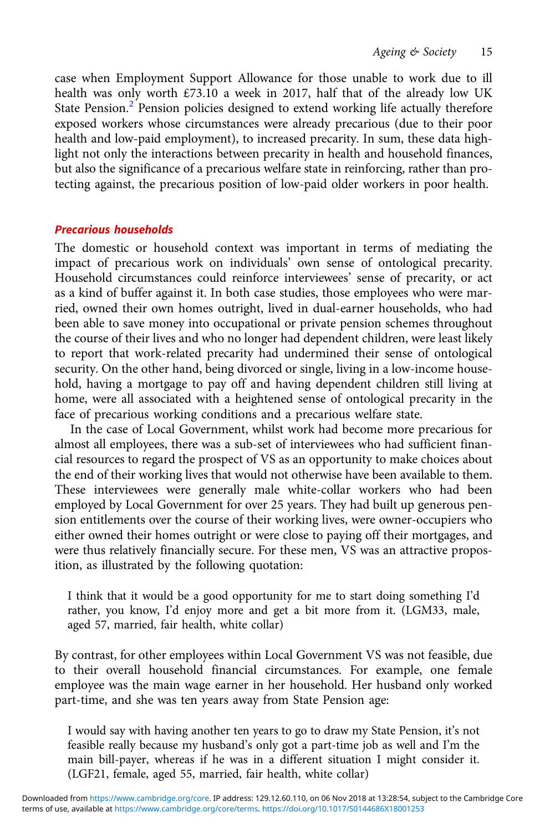case when Employment Support Allowance for those unable to work due to ill health was only worth £73.10 a week in 2017, half that of the already low UK State Pension.<sup>[2](#page-19-0)</sup> Pension policies designed to extend working life actually therefore exposed workers whose circumstances were already precarious (due to their poor health and low-paid employment), to increased precarity. In sum, these data highlight not only the interactions between precarity in health and household finances, but also the significance of a precarious welfare state in reinforcing, rather than protecting against, the precarious position of low-paid older workers in poor health.

#### Precarious households

The domestic or household context was important in terms of mediating the impact of precarious work on individuals' own sense of ontological precarity. Household circumstances could reinforce interviewees' sense of precarity, or act as a kind of buffer against it. In both case studies, those employees who were married, owned their own homes outright, lived in dual-earner households, who had been able to save money into occupational or private pension schemes throughout the course of their lives and who no longer had dependent children, were least likely to report that work-related precarity had undermined their sense of ontological security. On the other hand, being divorced or single, living in a low-income household, having a mortgage to pay off and having dependent children still living at home, were all associated with a heightened sense of ontological precarity in the face of precarious working conditions and a precarious welfare state.

In the case of Local Government, whilst work had become more precarious for almost all employees, there was a sub-set of interviewees who had sufficient financial resources to regard the prospect of VS as an opportunity to make choices about the end of their working lives that would not otherwise have been available to them. These interviewees were generally male white-collar workers who had been employed by Local Government for over 25 years. They had built up generous pension entitlements over the course of their working lives, were owner-occupiers who either owned their homes outright or were close to paying off their mortgages, and were thus relatively financially secure. For these men, VS was an attractive proposition, as illustrated by the following quotation:

I think that it would be a good opportunity for me to start doing something I'd rather, you know, I'd enjoy more and get a bit more from it. (LGM33, male, aged 57, married, fair health, white collar)

By contrast, for other employees within Local Government VS was not feasible, due to their overall household financial circumstances. For example, one female employee was the main wage earner in her household. Her husband only worked part-time, and she was ten years away from State Pension age:

I would say with having another ten years to go to draw my State Pension, it's not feasible really because my husband's only got a part-time job as well and I'm the main bill-payer, whereas if he was in a different situation I might consider it. (LGF21, female, aged 55, married, fair health, white collar)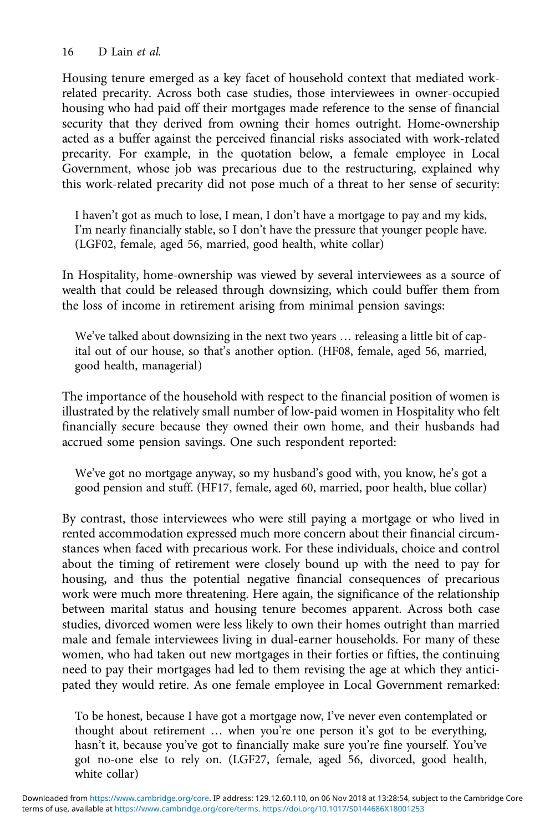Housing tenure emerged as a key facet of household context that mediated workrelated precarity. Across both case studies, those interviewees in owner-occupied housing who had paid off their mortgages made reference to the sense of financial security that they derived from owning their homes outright. Home-ownership acted as a buffer against the perceived financial risks associated with work-related precarity. For example, in the quotation below, a female employee in Local Government, whose job was precarious due to the restructuring, explained why this work-related precarity did not pose much of a threat to her sense of security:

I haven't got as much to lose, I mean, I don't have a mortgage to pay and my kids, I'm nearly financially stable, so I don't have the pressure that younger people have. (LGF02, female, aged 56, married, good health, white collar)

In Hospitality, home-ownership was viewed by several interviewees as a source of wealth that could be released through downsizing, which could buffer them from the loss of income in retirement arising from minimal pension savings:

We've talked about downsizing in the next two years … releasing a little bit of capital out of our house, so that's another option. (HF08, female, aged 56, married, good health, managerial)

The importance of the household with respect to the financial position of women is illustrated by the relatively small number of low-paid women in Hospitality who felt financially secure because they owned their own home, and their husbands had accrued some pension savings. One such respondent reported:

We've got no mortgage anyway, so my husband's good with, you know, he's got a good pension and stuff. (HF17, female, aged 60, married, poor health, blue collar)

By contrast, those interviewees who were still paying a mortgage or who lived in rented accommodation expressed much more concern about their financial circumstances when faced with precarious work. For these individuals, choice and control about the timing of retirement were closely bound up with the need to pay for housing, and thus the potential negative financial consequences of precarious work were much more threatening. Here again, the significance of the relationship between marital status and housing tenure becomes apparent. Across both case studies, divorced women were less likely to own their homes outright than married male and female interviewees living in dual-earner households. For many of these women, who had taken out new mortgages in their forties or fifties, the continuing need to pay their mortgages had led to them revising the age at which they anticipated they would retire. As one female employee in Local Government remarked:

To be honest, because I have got a mortgage now, I've never even contemplated or thought about retirement … when you're one person it's got to be everything, hasn't it, because you've got to financially make sure you're fine yourself. You've got no-one else to rely on. (LGF27, female, aged 56, divorced, good health, white collar)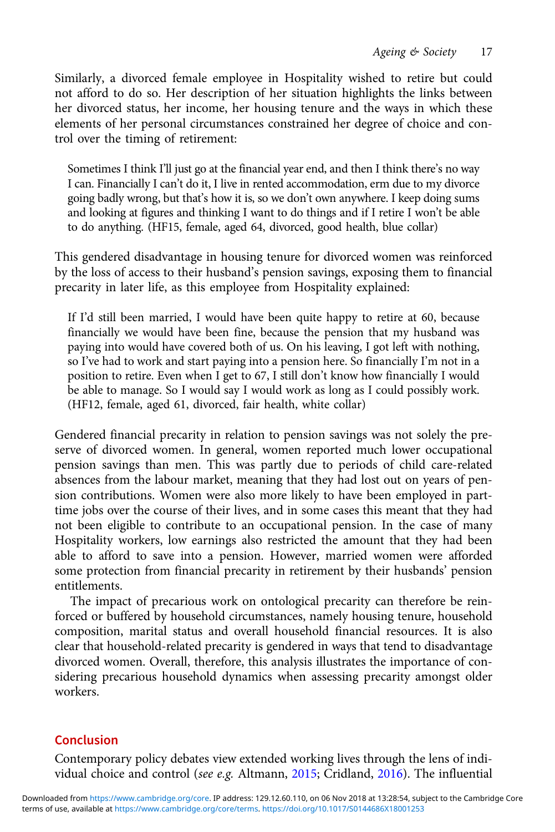Similarly, a divorced female employee in Hospitality wished to retire but could not afford to do so. Her description of her situation highlights the links between her divorced status, her income, her housing tenure and the ways in which these elements of her personal circumstances constrained her degree of choice and control over the timing of retirement:

Sometimes I think I'll just go at the financial year end, and then I think there's no way I can. Financially I can't do it, I live in rented accommodation, erm due to my divorce going badly wrong, but that's how it is, so we don't own anywhere. I keep doing sums and looking at figures and thinking I want to do things and if I retire I won't be able to do anything. (HF15, female, aged 64, divorced, good health, blue collar)

This gendered disadvantage in housing tenure for divorced women was reinforced by the loss of access to their husband's pension savings, exposing them to financial precarity in later life, as this employee from Hospitality explained:

If I'd still been married, I would have been quite happy to retire at 60, because financially we would have been fine, because the pension that my husband was paying into would have covered both of us. On his leaving, I got left with nothing, so I've had to work and start paying into a pension here. So financially I'm not in a position to retire. Even when I get to 67, I still don't know how financially I would be able to manage. So I would say I would work as long as I could possibly work. (HF12, female, aged 61, divorced, fair health, white collar)

Gendered financial precarity in relation to pension savings was not solely the preserve of divorced women. In general, women reported much lower occupational pension savings than men. This was partly due to periods of child care-related absences from the labour market, meaning that they had lost out on years of pension contributions. Women were also more likely to have been employed in parttime jobs over the course of their lives, and in some cases this meant that they had not been eligible to contribute to an occupational pension. In the case of many Hospitality workers, low earnings also restricted the amount that they had been able to afford to save into a pension. However, married women were afforded some protection from financial precarity in retirement by their husbands' pension entitlements.

The impact of precarious work on ontological precarity can therefore be reinforced or buffered by household circumstances, namely housing tenure, household composition, marital status and overall household financial resources. It is also clear that household-related precarity is gendered in ways that tend to disadvantage divorced women. Overall, therefore, this analysis illustrates the importance of considering precarious household dynamics when assessing precarity amongst older workers.

#### Conclusion

Contemporary policy debates view extended working lives through the lens of individual choice and control (*see e.g.* Altmann, [2015](#page-19-0); Cridland, [2016](#page-20-0)). The influential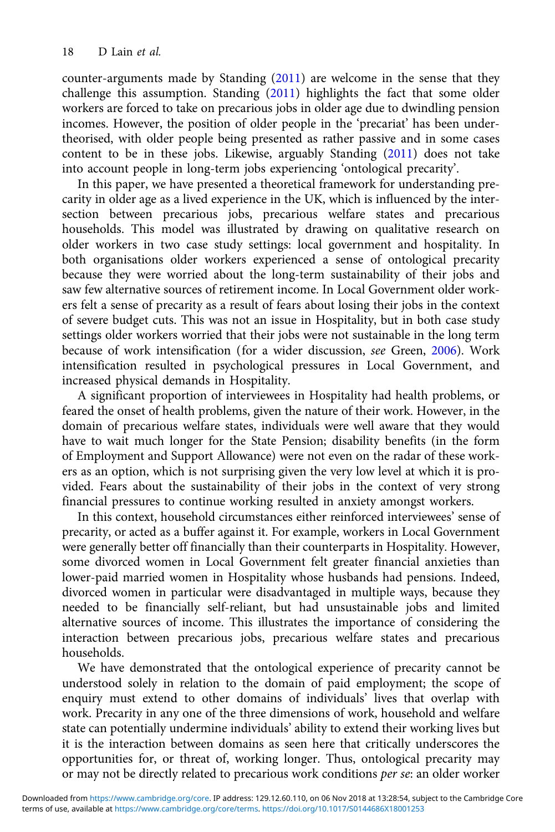counter-arguments made by Standing [\(2011\)](#page-21-0) are welcome in the sense that they challenge this assumption. Standing ([2011\)](#page-21-0) highlights the fact that some older workers are forced to take on precarious jobs in older age due to dwindling pension incomes. However, the position of older people in the 'precariat' has been undertheorised, with older people being presented as rather passive and in some cases content to be in these jobs. Likewise, arguably Standing [\(2011\)](#page-21-0) does not take into account people in long-term jobs experiencing 'ontological precarity'.

In this paper, we have presented a theoretical framework for understanding precarity in older age as a lived experience in the UK, which is influenced by the intersection between precarious jobs, precarious welfare states and precarious households. This model was illustrated by drawing on qualitative research on older workers in two case study settings: local government and hospitality. In both organisations older workers experienced a sense of ontological precarity because they were worried about the long-term sustainability of their jobs and saw few alternative sources of retirement income. In Local Government older workers felt a sense of precarity as a result of fears about losing their jobs in the context of severe budget cuts. This was not an issue in Hospitality, but in both case study settings older workers worried that their jobs were not sustainable in the long term because of work intensification (for a wider discussion, *see* Green, [2006\)](#page-20-0). Work intensification resulted in psychological pressures in Local Government, and increased physical demands in Hospitality.

A significant proportion of interviewees in Hospitality had health problems, or feared the onset of health problems, given the nature of their work. However, in the domain of precarious welfare states, individuals were well aware that they would have to wait much longer for the State Pension; disability benefits (in the form of Employment and Support Allowance) were not even on the radar of these workers as an option, which is not surprising given the very low level at which it is provided. Fears about the sustainability of their jobs in the context of very strong financial pressures to continue working resulted in anxiety amongst workers.

In this context, household circumstances either reinforced interviewees' sense of precarity, or acted as a buffer against it. For example, workers in Local Government were generally better off financially than their counterparts in Hospitality. However, some divorced women in Local Government felt greater financial anxieties than lower-paid married women in Hospitality whose husbands had pensions. Indeed, divorced women in particular were disadvantaged in multiple ways, because they needed to be financially self-reliant, but had unsustainable jobs and limited alternative sources of income. This illustrates the importance of considering the interaction between precarious jobs, precarious welfare states and precarious households.

We have demonstrated that the ontological experience of precarity cannot be understood solely in relation to the domain of paid employment; the scope of enquiry must extend to other domains of individuals' lives that overlap with work. Precarity in any one of the three dimensions of work, household and welfare state can potentially undermine individuals' ability to extend their working lives but it is the interaction between domains as seen here that critically underscores the opportunities for, or threat of, working longer. Thus, ontological precarity may or may not be directly related to precarious work conditions *per se*: an older worker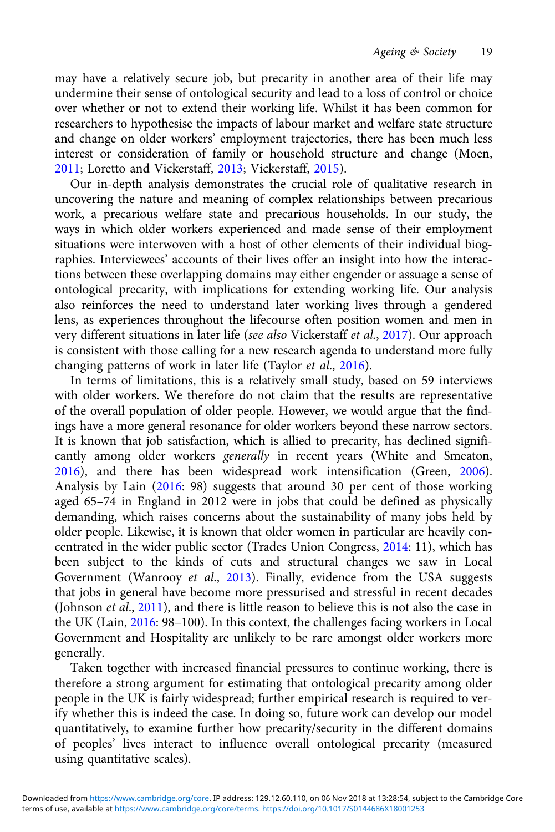<span id="page-19-0"></span>may have a relatively secure job, but precarity in another area of their life may undermine their sense of ontological security and lead to a loss of control or choice over whether or not to extend their working life. Whilst it has been common for researchers to hypothesise the impacts of labour market and welfare state structure and change on older workers' employment trajectories, there has been much less interest or consideration of family or household structure and change (Moen, [2011](#page-21-0); Loretto and Vickerstaff, [2013;](#page-20-0) Vickerstaff, [2015\)](#page-21-0).

Our in-depth analysis demonstrates the crucial role of qualitative research in uncovering the nature and meaning of complex relationships between precarious work, a precarious welfare state and precarious households. In our study, the ways in which older workers experienced and made sense of their employment situations were interwoven with a host of other elements of their individual biographies. Interviewees' accounts of their lives offer an insight into how the interactions between these overlapping domains may either engender or assuage a sense of ontological precarity, with implications for extending working life. Our analysis also reinforces the need to understand later working lives through a gendered lens, as experiences throughout the lifecourse often position women and men in very different situations in later life (*see also* Vickerstaff *et al.*, [2017\)](#page-21-0). Our approach is consistent with those calling for a new research agenda to understand more fully changing patterns of work in later life (Taylor *et al*., [2016](#page-21-0)).

In terms of limitations, this is a relatively small study, based on 59 interviews with older workers. We therefore do not claim that the results are representative of the overall population of older people. However, we would argue that the findings have a more general resonance for older workers beyond these narrow sectors. It is known that job satisfaction, which is allied to precarity, has declined significantly among older workers *generally* in recent years (White and Smeaton, [2016](#page-22-0)), and there has been widespread work intensification (Green, [2006\)](#page-20-0). Analysis by Lain ([2016](#page-20-0): 98) suggests that around 30 per cent of those working aged 65–74 in England in 2012 were in jobs that could be defined as physically demanding, which raises concerns about the sustainability of many jobs held by older people. Likewise, it is known that older women in particular are heavily concentrated in the wider public sector (Trades Union Congress, [2014](#page-21-0): 11), which has been subject to the kinds of cuts and structural changes we saw in Local Government (Wanrooy *et al*., [2013](#page-22-0)). Finally, evidence from the USA suggests that jobs in general have become more pressurised and stressful in recent decades (Johnson *et al*., [2011\)](#page-20-0), and there is little reason to believe this is not also the case in the UK (Lain, [2016](#page-20-0): 98–100). In this context, the challenges facing workers in Local Government and Hospitality are unlikely to be rare amongst older workers more generally.

Taken together with increased financial pressures to continue working, there is therefore a strong argument for estimating that ontological precarity among older people in the UK is fairly widespread; further empirical research is required to verify whether this is indeed the case. In doing so, future work can develop our model quantitatively, to examine further how precarity/security in the different domains of peoples' lives interact to influence overall ontological precarity (measured using quantitative scales).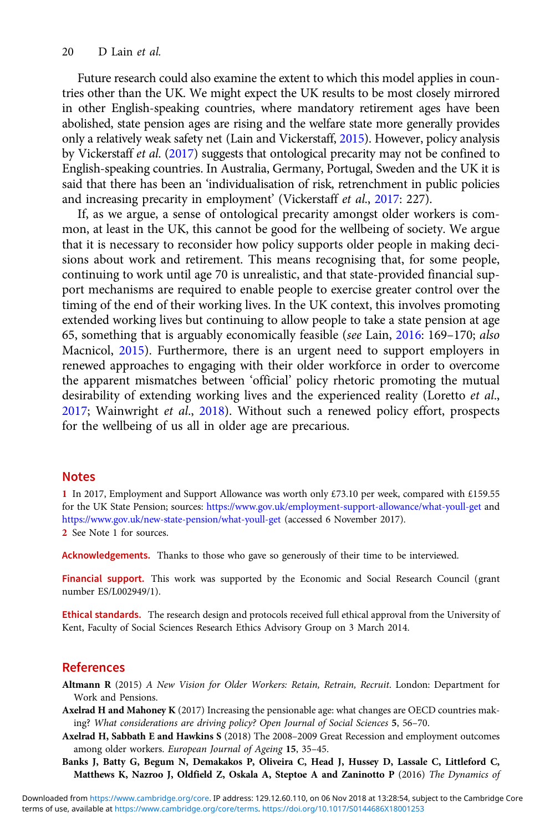<span id="page-20-0"></span>Future research could also examine the extent to which this model applies in countries other than the UK. We might expect the UK results to be most closely mirrored in other English-speaking countries, where mandatory retirement ages have been abolished, state pension ages are rising and the welfare state more generally provides only a relatively weak safety net (Lain and Vickerstaff, 2015). However, policy analysis by Vickerstaff *et al*. [\(2017\)](#page-21-0) suggests that ontological precarity may not be confined to English-speaking countries. In Australia, Germany, Portugal, Sweden and the UK it is said that there has been an 'individualisation of risk, retrenchment in public policies and increasing precarity in employment' (Vickerstaff *et al*., [2017](#page-21-0): 227).

If, as we argue, a sense of ontological precarity amongst older workers is common, at least in the UK, this cannot be good for the wellbeing of society. We argue that it is necessary to reconsider how policy supports older people in making decisions about work and retirement. This means recognising that, for some people, continuing to work until age 70 is unrealistic, and that state-provided financial support mechanisms are required to enable people to exercise greater control over the timing of the end of their working lives. In the UK context, this involves promoting extended working lives but continuing to allow people to take a state pension at age 65, something that is arguably economically feasible (*see* Lain, 2016: 169–170; *also* Macnicol, 2015). Furthermore, there is an urgent need to support employers in renewed approaches to engaging with their older workforce in order to overcome the apparent mismatches between 'official' policy rhetoric promoting the mutual desirability of extending working lives and the experienced reality (Loretto *et al*., 2017; Wainwright *et al*., [2018](#page-22-0)). Without such a renewed policy effort, prospects for the wellbeing of us all in older age are precarious.

#### Notes

1 In 2017, Employment and Support Allowance was worth only £73.10 per week, compared with £159.55 for the UK State Pension; sources: <https://www.gov.uk/employment-support-allowance/what-youll-get> and <https://www.gov.uk/new-state-pension/what-youll-get> (accessed 6 November 2017). 2 See Note 1 for sources.

Acknowledgements. Thanks to those who gave so generously of their time to be interviewed.

Financial support. This work was supported by the Economic and Social Research Council (grant number ES/L002949/1).

Ethical standards. The research design and protocols received full ethical approval from the University of Kent, Faculty of Social Sciences Research Ethics Advisory Group on 3 March 2014.

#### References

Altmann R (2015) *A New Vision for Older Workers: Retain, Retrain, Recruit*. London: Department for Work and Pensions.

- Axelrad H and Mahoney K (2017) Increasing the pensionable age: what changes are OECD countries making? *What considerations are driving policy? Open Journal of Social Sciences* 5, 56–70.
- Axelrad H, Sabbath E and Hawkins S (2018) The 2008–2009 Great Recession and employment outcomes among older workers. *European Journal of Ageing* 15, 35–45.
- Banks J, Batty G, Begum N, Demakakos P, Oliveira C, Head J, Hussey D, Lassale C, Littleford C, Matthews K, Nazroo J, Oldfield Z, Oskala A, Steptoe A and Zaninotto P (2016) *The Dynamics of*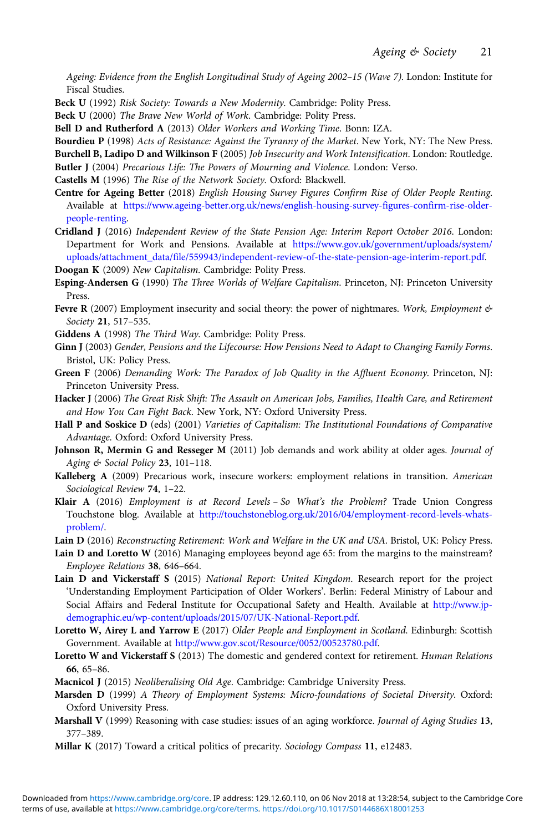<span id="page-21-0"></span>*Ageing: Evidence from the English Longitudinal Study of Ageing 2002*–*15 (Wave 7)*. London: Institute for Fiscal Studies.

Beck U (1992) *Risk Society: Towards a New Modernity*. Cambridge: Polity Press.

Beck U (2000) *The Brave New World of Work*. Cambridge: Polity Press.

Bell D and Rutherford A (2013) *Older Workers and Working Time*. Bonn: IZA.

Bourdieu P (1998) *Acts of Resistance: Against the Tyranny of the Market*. New York, NY: The New Press. Burchell B, Ladipo D and Wilkinson F (2005) *Job Insecurity and Work Intensification*. London: Routledge. Butler J (2004) *Precarious Life: The Powers of Mourning and Violence*. London: Verso.

Castells M (1996) *The Rise of the Network Society*. Oxford: Blackwell.

Centre for Ageing Better (2018) *English Housing Survey Figures Confirm Rise of Older People Renting*. Available at [https://www.ageing-better.org.uk/news/english-housing-survey-figures-confirm-rise-older](https://www.ageing-better.org.uk/news/english-housing-survey-figures-confirm-rise-older-people-renting)[people-renting](https://www.ageing-better.org.uk/news/english-housing-survey-figures-confirm-rise-older-people-renting).

- Cridland J (2016) *Independent Review of the State Pension Age: Interim Report October 2016*. London: Department for Work and Pensions. Available at [https://www.gov.uk/government/uploads/system/](https://www.gov.uk/government/uploads/system/uploads/attachment_data/file/559943/independent-review-of-the-state-pension-age-interim-report.pdf) [uploads/attachment\\_data/file/559943/independent-review-of-the-state-pension-age-interim-report.pdf.](https://www.gov.uk/government/uploads/system/uploads/attachment_data/file/559943/independent-review-of-the-state-pension-age-interim-report.pdf)
- Doogan K (2009) *New Capitalism*. Cambridge: Polity Press.
- Esping-Andersen G (1990) *The Three Worlds of Welfare Capitalism*. Princeton, NJ: Princeton University Press.
- Fevre R (2007) Employment insecurity and social theory: the power of nightmares. *Work, Employment & Society* 21, 517–535.
- Giddens A (1998) *The Third Way*. Cambridge: Polity Press.
- Ginn J (2003) *Gender, Pensions and the Lifecourse: How Pensions Need to Adapt to Changing Family Forms*. Bristol, UK: Policy Press.
- Green F (2006) *Demanding Work: The Paradox of Job Quality in the Affluent Economy*. Princeton, NJ: Princeton University Press.
- Hacker J (2006) *The Great Risk Shift: The Assault on American Jobs, Families, Health Care, and Retirement and How You Can Fight Back*. New York, NY: Oxford University Press.
- Hall P and Soskice D (eds) (2001) *Varieties of Capitalism: The Institutional Foundations of Comparative Advantage*. Oxford: Oxford University Press.
- Johnson R, Mermin G and Resseger M (2011) Job demands and work ability at older ages. *Journal of Aging & Social Policy* 23, 101–118.
- Kalleberg A (2009) Precarious work, insecure workers: employment relations in transition. *American Sociological Review* 74, 1–22.
- Klair A (2016) *Employment is at Record Levels So What*'*s the Problem?* Trade Union Congress Touchstone blog. Available at [http://touchstoneblog.org.uk/2016/04/employment-record-levels-whats](http://touchstoneblog.org.uk/2016/04/employment-record-levels-whats-problem/)[problem/.](http://touchstoneblog.org.uk/2016/04/employment-record-levels-whats-problem/)
- Lain D (2016) *Reconstructing Retirement: Work and Welfare in the UK and USA*. Bristol, UK: Policy Press.
- Lain D and Loretto W (2016) Managing employees beyond age 65: from the margins to the mainstream? *Employee Relations* 38, 646–664.
- Lain D and Vickerstaff S (2015) *National Report: United Kingdom*. Research report for the project 'Understanding Employment Participation of Older Workers'. Berlin: Federal Ministry of Labour and Social Affairs and Federal Institute for Occupational Safety and Health. Available at [http://www.jp](http://www.jp-demographic.eu/wp-content/uploads/2015/07/UK-National-Report.pdf)[demographic.eu/wp-content/uploads/2015/07/UK-National-Report.pdf.](http://www.jp-demographic.eu/wp-content/uploads/2015/07/UK-National-Report.pdf)
- Loretto W, Airey L and Yarrow E (2017) *Older People and Employment in Scotland*. Edinburgh: Scottish Government. Available at <http://www.gov.scot/Resource/0052/00523780.pdf>.
- Loretto W and Vickerstaff S (2013) The domestic and gendered context for retirement. *Human Relations* 66, 65–86.
- Macnicol J (2015) *Neoliberalising Old Age*. Cambridge: Cambridge University Press.
- Marsden D (1999) *A Theory of Employment Systems: Micro-foundations of Societal Diversity*. Oxford: Oxford University Press.
- Marshall V (1999) Reasoning with case studies: issues of an aging workforce. *Journal of Aging Studies* 13, 377–389.
- Millar K (2017) Toward a critical politics of precarity. *Sociology Compass* 11, e12483.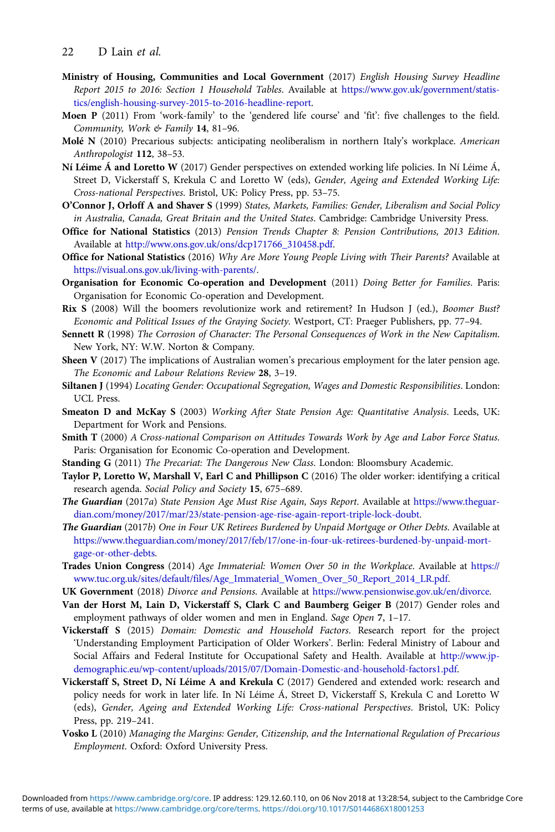- <span id="page-22-0"></span>Ministry of Housing, Communities and Local Government (2017) *English Housing Survey Headline Report 2015 to 2016: Section 1 Household Tables*. Available at [https://www.gov.uk/government/statis](https://www.gov.uk/government/statistics/english-housing-survey-2015-to-2016-headline-report)[tics/english-housing-survey-2015-to-2016-headline-report.](https://www.gov.uk/government/statistics/english-housing-survey-2015-to-2016-headline-report)
- Moen P (2011) From 'work-family' to the 'gendered life course' and 'fit': five challenges to the field. *Community, Work & Family* 14, 81–96.
- Molé N (2010) Precarious subjects: anticipating neoliberalism in northern Italy's workplace. *American Anthropologist* 112, 38–53.
- Ní Léime Á and Loretto W (2017) Gender perspectives on extended working life policies. In Ní Léime Á, Street D, Vickerstaff S, Krekula C and Loretto W (eds), *Gender, Ageing and Extended Working Life: Cross-national Perspectives*. Bristol, UK: Policy Press, pp. 53–75.
- O'Connor J, Orloff A and Shaver S (1999) *States, Markets, Families: Gender, Liberalism and Social Policy in Australia, Canada, Great Britain and the United States*. Cambridge: Cambridge University Press.
- Office for National Statistics (2013) *Pension Trends Chapter 8: Pension Contributions, 2013 Edition*. Available at [http://www.ons.gov.uk/ons/dcp171766\\_310458.pdf.](http://www.ons.gov.uk/ons/dcp171766_310458.pdf)
- Office for National Statistics (2016) *Why Are More Young People Living with Their Parents?* Available at <https://visual.ons.gov.uk/living-with-parents/>.
- Organisation for Economic Co-operation and Development (2011) *Doing Better for Families*. Paris: Organisation for Economic Co-operation and Development.
- Rix S (2008) Will the boomers revolutionize work and retirement? In Hudson J (ed.), *Boomer Bust? Economic and Political Issues of the Graying Society*. Westport, CT: Praeger Publishers, pp. 77–94.
- Sennett R (1998) *The Corrosion of Character: The Personal Consequences of Work in the New Capitalism*. New York, NY: W.W. Norton & Company.
- Sheen V (2017) The implications of Australian women's precarious employment for the later pension age. *The Economic and Labour Relations Review* 28, 3–19.
- Siltanen J (1994) *Locating Gender: Occupational Segregation, Wages and Domestic Responsibilities*. London: UCL Press.
- Smeaton D and McKay S (2003) *Working After State Pension Age: Quantitative Analysis*. Leeds, UK: Department for Work and Pensions.
- Smith T (2000) *A Cross-national Comparison on Attitudes Towards Work by Age and Labor Force Status*. Paris: Organisation for Economic Co-operation and Development.
- Standing G (2011) *The Precariat: The Dangerous New Class*. London: Bloomsbury Academic.
- Taylor P, Loretto W, Marshall V, Earl C and Phillipson C (2016) The older worker: identifying a critical research agenda. *Social Policy and Society* 15, 675–689.
- The Guardian (2017*a*) *State Pension Age Must Rise Again, Says Report*. Available at [https://www.theguar](https://www.theguardian.com/money/2017/mar/23/state-pension-age-rise-again-report-triple-lock-doubt)[dian.com/money/2017/mar/23/state-pension-age-rise-again-report-triple-lock-doubt.](https://www.theguardian.com/money/2017/mar/23/state-pension-age-rise-again-report-triple-lock-doubt)
- The Guardian (2017*b*) *One in Four UK Retirees Burdened by Unpaid Mortgage or Other Debts*. Available at [https://www.theguardian.com/money/2017/feb/17/one-in-four-uk-retirees-burdened-by-unpaid-mort](https://www.theguardian.com/money/2017/feb/17/one-in-four-uk-retirees-burdened-by-unpaid-mortgage-or-other-debts)[gage-or-other-debts](https://www.theguardian.com/money/2017/feb/17/one-in-four-uk-retirees-burdened-by-unpaid-mortgage-or-other-debts).
- Trades Union Congress (2014) *Age Immaterial: Women Over 50 in the Workplace*. Available at [https://](https://www.tuc.org.uk/sites/default/files/Age_Immaterial_Women_Over_50_Report_2014_LR.pdf) [www.tuc.org.uk/sites/default/files/Age\\_Immaterial\\_Women\\_Over\\_50\\_Report\\_2014\\_LR.pdf](https://www.tuc.org.uk/sites/default/files/Age_Immaterial_Women_Over_50_Report_2014_LR.pdf).
- UK Government (2018) *Divorce and Pensions*. Available at <https://www.pensionwise.gov.uk/en/divorce>.
- Van der Horst M, Lain D, Vickerstaff S, Clark C and Baumberg Geiger B (2017) Gender roles and employment pathways of older women and men in England. *Sage Open* 7, 1–17.
- Vickerstaff S (2015) *Domain: Domestic and Household Factors*. Research report for the project 'Understanding Employment Participation of Older Workers'. Berlin: Federal Ministry of Labour and Social Affairs and Federal Institute for Occupational Safety and Health. Available at [http://www.jp](http://www.jp-demographic.eu/wp-content/uploads/2015/07/Domain-Domestic-and-household-factors1.pdf)[demographic.eu/wp-content/uploads/2015/07/Domain-Domestic-and-household-factors1.pdf](http://www.jp-demographic.eu/wp-content/uploads/2015/07/Domain-Domestic-and-household-factors1.pdf).
- Vickerstaff S, Street D, Ní Léime A and Krekula C (2017) Gendered and extended work: research and policy needs for work in later life. In Ní Léime Á, Street D, Vickerstaff S, Krekula C and Loretto W (eds), *Gender, Ageing and Extended Working Life: Cross-national Perspectives*. Bristol, UK: Policy Press, pp. 219–241.
- Vosko L (2010) *Managing the Margins: Gender, Citizenship, and the International Regulation of Precarious Employment*. Oxford: Oxford University Press.